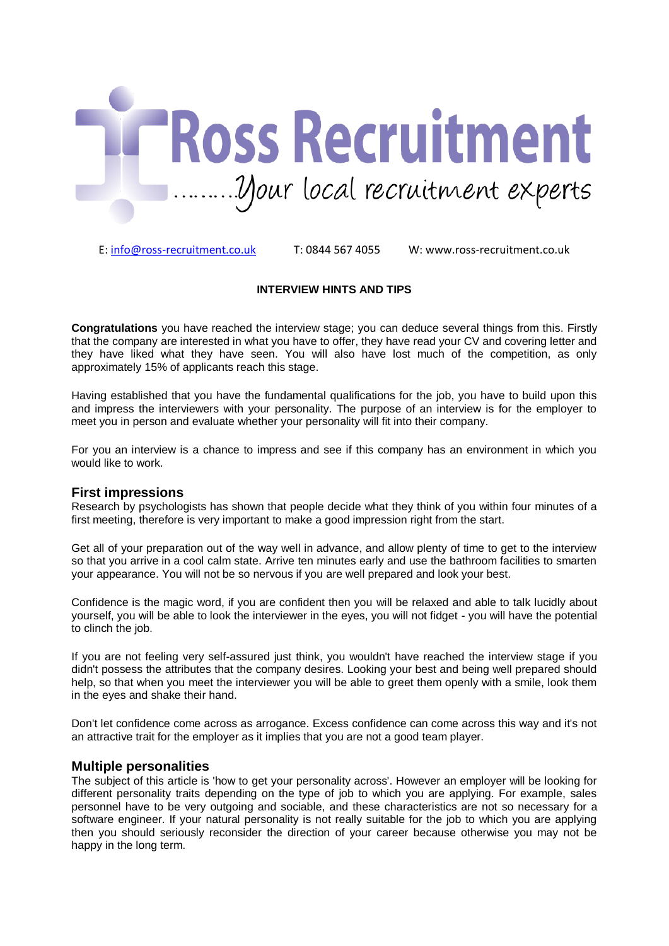

E: [info@ross-recruitment.co.uk](mailto:info@ross-recruitment.co.uk) T: 0844 567 4055 W: www.ross-recruitment.co.uk

#### **INTERVIEW HINTS AND TIPS**

**Congratulations** you have reached the interview stage; you can deduce several things from this. Firstly that the company are interested in what you have to offer, they have read your CV and covering letter and they have liked what they have seen. You will also have lost much of the competition, as only approximately 15% of applicants reach this stage.

Having established that you have the fundamental qualifications for the job, you have to build upon this and impress the interviewers with your personality. The purpose of an interview is for the employer to meet you in person and evaluate whether your personality will fit into their company.

For you an interview is a chance to impress and see if this company has an environment in which you would like to work.

#### **First impressions**

Research by psychologists has shown that people decide what they think of you within four minutes of a first meeting, therefore is very important to make a good impression right from the start.

Get all of your preparation out of the way well in advance, and allow plenty of time to get to the interview so that you arrive in a cool calm state. Arrive ten minutes early and use the bathroom facilities to smarten your appearance. You will not be so nervous if you are well prepared and look your best.

Confidence is the magic word, if you are confident then you will be relaxed and able to talk lucidly about yourself, you will be able to look the interviewer in the eyes, you will not fidget - you will have the potential to clinch the job.

If you are not feeling very self-assured just think, you wouldn't have reached the interview stage if you didn't possess the attributes that the company desires. Looking your best and being well prepared should help, so that when you meet the interviewer you will be able to greet them openly with a smile, look them in the eyes and shake their hand.

Don't let confidence come across as arrogance. Excess confidence can come across this way and it's not an attractive trait for the employer as it implies that you are not a good team player.

#### **Multiple personalities**

The subject of this article is 'how to get your personality across'. However an employer will be looking for different personality traits depending on the type of job to which you are applying. For example, sales personnel have to be very outgoing and sociable, and these characteristics are not so necessary for a software engineer. If your natural personality is not really suitable for the job to which you are applying then you should seriously reconsider the direction of your career because otherwise you may not be happy in the long term.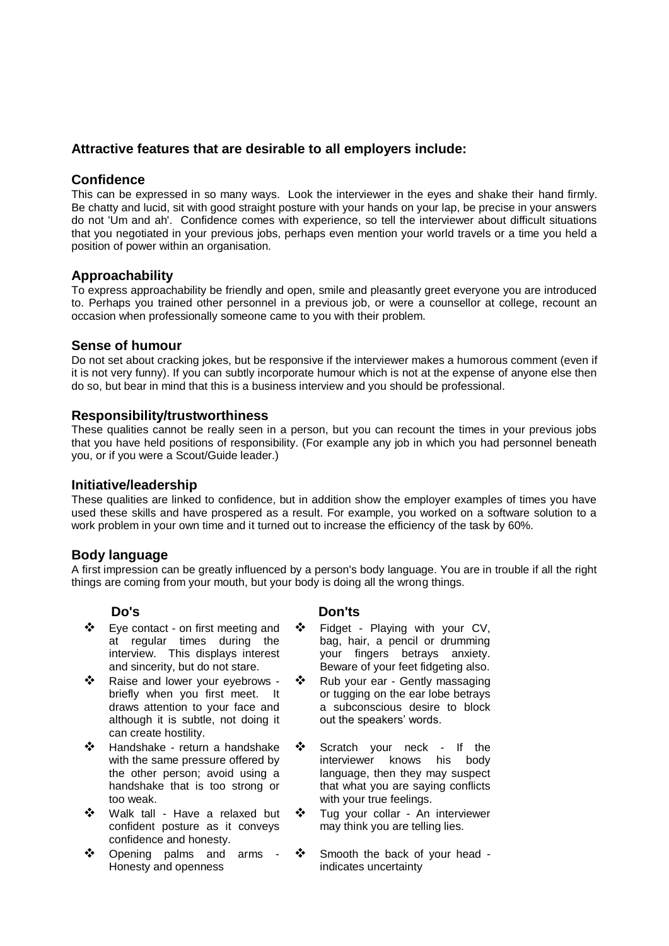### **Attractive features that are desirable to all employers include:**

#### **Confidence**

This can be expressed in so many ways. Look the interviewer in the eyes and shake their hand firmly. Be chatty and lucid, sit with good straight posture with your hands on your lap, be precise in your answers do not 'Um and ah'. Confidence comes with experience, so tell the interviewer about difficult situations that you negotiated in your previous jobs, perhaps even mention your world travels or a time you held a position of power within an organisation.

#### **Approachability**

To express approachability be friendly and open, smile and pleasantly greet everyone you are introduced to. Perhaps you trained other personnel in a previous job, or were a counsellor at college, recount an occasion when professionally someone came to you with their problem.

#### **Sense of humour**

Do not set about cracking jokes, but be responsive if the interviewer makes a humorous comment (even if it is not very funny). If you can subtly incorporate humour which is not at the expense of anyone else then do so, but bear in mind that this is a business interview and you should be professional.

#### **Responsibility/trustworthiness**

These qualities cannot be really seen in a person, but you can recount the times in your previous jobs that you have held positions of responsibility. (For example any job in which you had personnel beneath you, or if you were a Scout/Guide leader.)

#### **Initiative/leadership**

These qualities are linked to confidence, but in addition show the employer examples of times you have used these skills and have prospered as a result. For example, you worked on a software solution to a work problem in your own time and it turned out to increase the efficiency of the task by 60%.

#### **Body language**

A first impression can be greatly influenced by a person's body language. You are in trouble if all the right things are coming from your mouth, but your body is doing all the wrong things.

- ❖ Eye contact on first meeting and at regular times during the interview. This displays interest and sincerity, but do not stare.
- \* Raise and lower your eyebrows briefly when you first meet. It draws attention to your face and although it is subtle, not doing it can create hostility.
- Handshake return a handshake with the same pressure offered by the other person; avoid using a handshake that is too strong or too weak.
- Walk tall Have a relaxed but confident posture as it conveys confidence and honesty.
- Opening palms and arms Honesty and openness

#### **Do's Don'ts**

- Fidget Playing with your CV, bag, hair, a pencil or drumming your fingers betrays anxiety. Beware of your feet fidgeting also.
- ❖ Rub your ear Gently massaging or tugging on the ear lobe betrays a subconscious desire to block out the speakers' words.
- Scratch your neck If the interviewer knows his body language, then they may suspect that what you are saying conflicts with your true feelings.
- ❖ Tug your collar An interviewer may think you are telling lies.
- Smooth the back of your head indicates uncertainty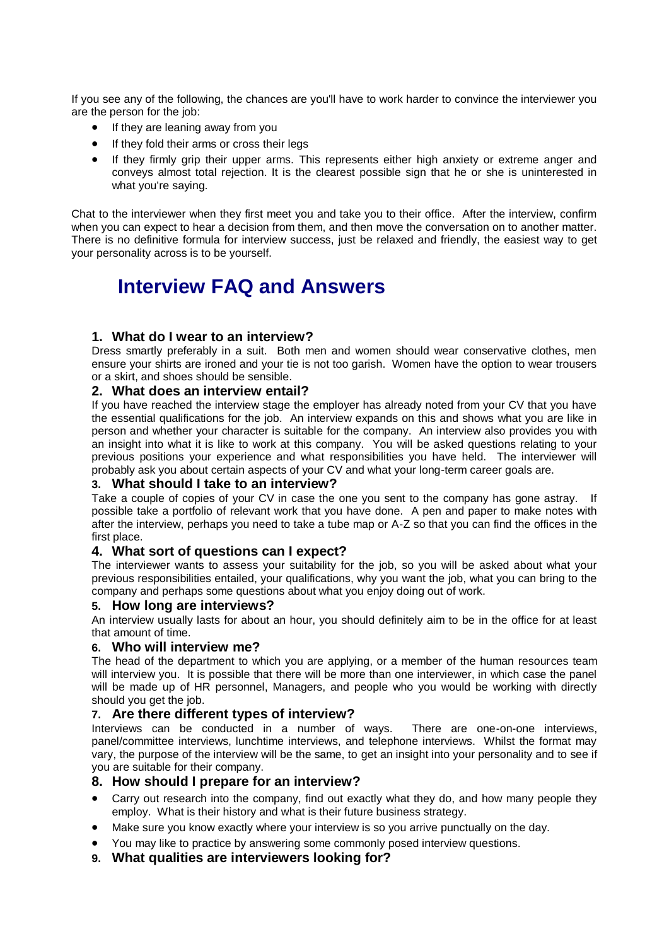If you see any of the following, the chances are you'll have to work harder to convince the interviewer you are the person for the job:

- If they are leaning away from you
- If they fold their arms or cross their legs
- If they firmly grip their upper arms. This represents either high anxiety or extreme anger and conveys almost total rejection. It is the clearest possible sign that he or she is uninterested in what you're saying.

Chat to the interviewer when they first meet you and take you to their office. After the interview, confirm when you can expect to hear a decision from them, and then move the conversation on to another matter. There is no definitive formula for interview success, just be relaxed and friendly, the easiest way to get your personality across is to be yourself.

## **Interview FAQ and Answers**

#### **1. What do I wear to an interview?**

Dress smartly preferably in a suit. Both men and women should wear conservative clothes, men ensure your shirts are ironed and your tie is not too garish. Women have the option to wear trousers or a skirt, and shoes should be sensible.

#### **2. What does an interview entail?**

If you have reached the interview stage the employer has already noted from your CV that you have the essential qualifications for the job. An interview expands on this and shows what you are like in person and whether your character is suitable for the company. An interview also provides you with an insight into what it is like to work at this company. You will be asked questions relating to your previous positions your experience and what responsibilities you have held. The interviewer will probably ask you about certain aspects of your CV and what your long-term career goals are.

#### **3. What should I take to an interview?**

Take a couple of copies of your CV in case the one you sent to the company has gone astray. If possible take a portfolio of relevant work that you have done. A pen and paper to make notes with after the interview, perhaps you need to take a tube map or A-Z so that you can find the offices in the first place.

#### **4. What sort of questions can I expect?**

The interviewer wants to assess your suitability for the job, so you will be asked about what your previous responsibilities entailed, your qualifications, why you want the job, what you can bring to the company and perhaps some questions about what you enjoy doing out of work.

#### **5. How long are interviews?**

An interview usually lasts for about an hour, you should definitely aim to be in the office for at least that amount of time.

#### **6. Who will interview me?**

The head of the department to which you are applying, or a member of the human resources team will interview you. It is possible that there will be more than one interviewer, in which case the panel will be made up of HR personnel, Managers, and people who you would be working with directly should you get the job.

#### **7. Are there different types of interview?**

Interviews can be conducted in a number of ways. There are one-on-one interviews, panel/committee interviews, lunchtime interviews, and telephone interviews. Whilst the format may vary, the purpose of the interview will be the same, to get an insight into your personality and to see if you are suitable for their company.

#### **8. How should I prepare for an interview?**

- Carry out research into the company, find out exactly what they do, and how many people they employ. What is their history and what is their future business strategy.
- Make sure you know exactly where your interview is so you arrive punctually on the day.
- You may like to practice by answering some commonly posed interview questions.
- **9. What qualities are interviewers looking for?**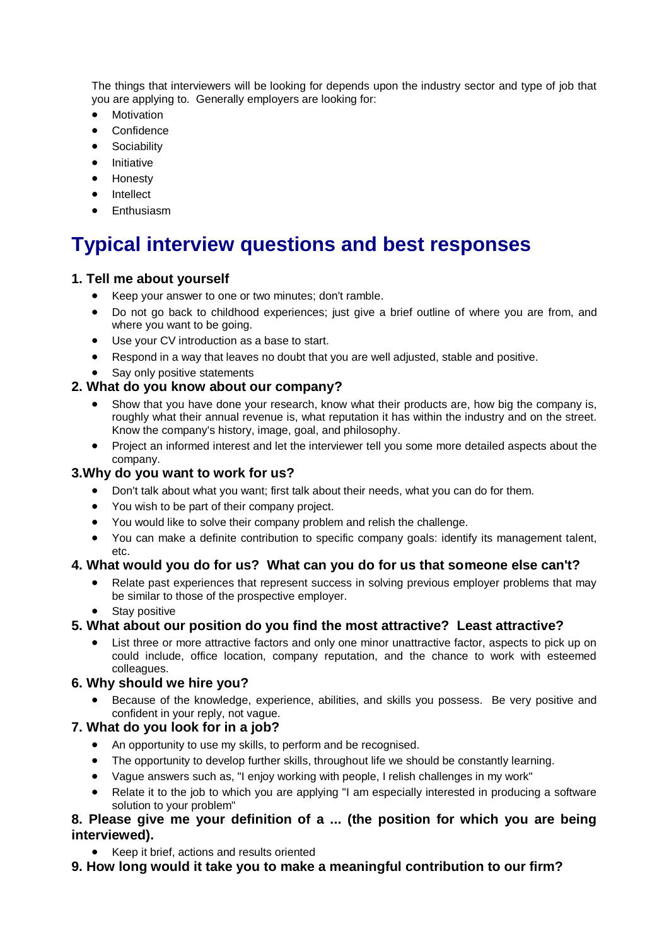The things that interviewers will be looking for depends upon the industry sector and type of job that you are applying to. Generally employers are looking for:

- Motivation
- **Confidence**
- **Sociability**
- Initiative
- Honesty
- Intellect
- Enthusiasm

# **Typical interview questions and best responses**

### **1. Tell me about yourself**

- Keep your answer to one or two minutes; don't ramble.
- Do not go back to childhood experiences; just give a brief outline of where you are from, and where you want to be going.
- Use your CV introduction as a base to start.
- Respond in a way that leaves no doubt that you are well adjusted, stable and positive.
- Say only positive statements

#### **2. What do you know about our company?**

- Show that you have done your research, know what their products are, how big the company is, roughly what their annual revenue is, what reputation it has within the industry and on the street. Know the company's history, image, goal, and philosophy.
- Project an informed interest and let the interviewer tell you some more detailed aspects about the company.

#### **3.Why do you want to work for us?**

- Don't talk about what you want; first talk about their needs, what you can do for them.
- You wish to be part of their company project.
- You would like to solve their company problem and relish the challenge.
- You can make a definite contribution to specific company goals: identify its management talent, etc.

#### **4. What would you do for us? What can you do for us that someone else can't?**

- Relate past experiences that represent success in solving previous employer problems that may be similar to those of the prospective employer.
- Stay positive

#### **5. What about our position do you find the most attractive? Least attractive?**

 List three or more attractive factors and only one minor unattractive factor, aspects to pick up on could include, office location, company reputation, and the chance to work with esteemed colleagues.

#### **6. Why should we hire you?**

 Because of the knowledge, experience, abilities, and skills you possess. Be very positive and confident in your reply, not vague.

#### **7. What do you look for in a job?**

- An opportunity to use my skills, to perform and be recognised.
- The opportunity to develop further skills, throughout life we should be constantly learning.
- Vague answers such as, "I enjoy working with people, I relish challenges in my work"
- Relate it to the job to which you are applying "I am especially interested in producing a software solution to your problem"

### **8. Please give me your definition of a ... (the position for which you are being interviewed).**

- Keep it brief, actions and results oriented
- **9. How long would it take you to make a meaningful contribution to our firm?**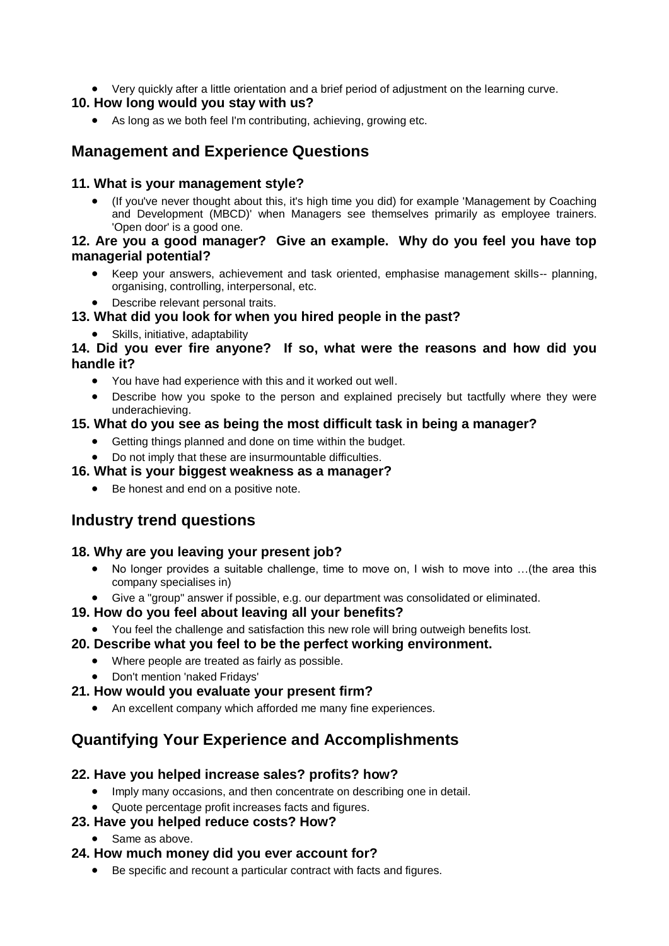Very quickly after a little orientation and a brief period of adjustment on the learning curve.

### **10. How long would you stay with us?**

As long as we both feel I'm contributing, achieving, growing etc.

## **Management and Experience Questions**

### **11. What is your management style?**

 (If you've never thought about this, it's high time you did) for example 'Management by Coaching and Development (MBCD)' when Managers see themselves primarily as employee trainers. 'Open door' is a good one.

### **12. Are you a good manager? Give an example. Why do you feel you have top managerial potential?**

- Keep your answers, achievement and task oriented, emphasise management skills-- planning, organising, controlling, interpersonal, etc.
- Describe relevant personal traits.

### **13. What did you look for when you hired people in the past?**

Skills, initiative, adaptability

### **14. Did you ever fire anyone? If so, what were the reasons and how did you handle it?**

- You have had experience with this and it worked out well.
- Describe how you spoke to the person and explained precisely but tactfully where they were underachieving.

### **15. What do you see as being the most difficult task in being a manager?**

- Getting things planned and done on time within the budget.
- Do not imply that these are insurmountable difficulties.

### **16. What is your biggest weakness as a manager?**

Be honest and end on a positive note.

## **Industry trend questions**

### **18. Why are you leaving your present job?**

- No longer provides a suitable challenge, time to move on, I wish to move into …(the area this company specialises in)
- Give a "group" answer if possible, e.g. our department was consolidated or eliminated.

### **19. How do you feel about leaving all your benefits?**

You feel the challenge and satisfaction this new role will bring outweigh benefits lost.

### **20. Describe what you feel to be the perfect working environment.**

- Where people are treated as fairly as possible.
- Don't mention 'naked Fridays'

### **21. How would you evaluate your present firm?**

An excellent company which afforded me many fine experiences.

## **Quantifying Your Experience and Accomplishments**

### **22. Have you helped increase sales? profits? how?**

- Imply many occasions, and then concentrate on describing one in detail.
- Quote percentage profit increases facts and figures.

### **23. Have you helped reduce costs? How?**

• Same as above.

### **24. How much money did you ever account for?**

Be specific and recount a particular contract with facts and figures.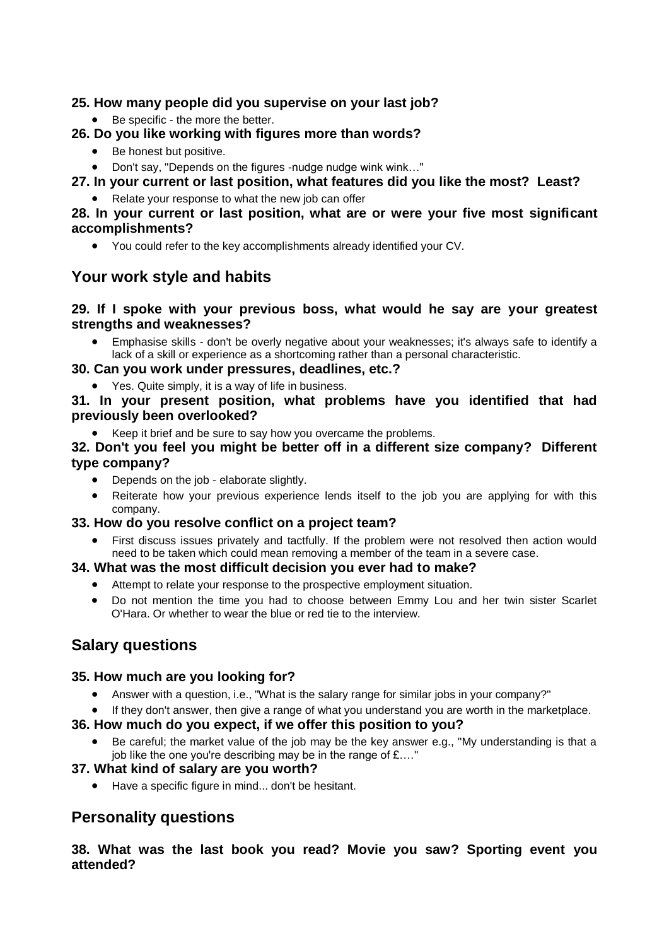### **25. How many people did you supervise on your last job?**

● Be specific - the more the better.

### **26. Do you like working with figures more than words?**

- Be honest but positive.
- Don't say, "Depends on the figures -nudge nudge wink wink…"

### **27. In your current or last position, what features did you like the most? Least?**

• Relate your response to what the new job can offer

### **28. In your current or last position, what are or were your five most significant accomplishments?**

You could refer to the key accomplishments already identified your CV.

## **Your work style and habits**

### **29. If I spoke with your previous boss, what would he say are your greatest strengths and weaknesses?**

 Emphasise skills - don't be overly negative about your weaknesses; it's always safe to identify a lack of a skill or experience as a shortcoming rather than a personal characteristic.

### **30. Can you work under pressures, deadlines, etc.?**

• Yes. Quite simply, it is a way of life in business.

### **31. In your present position, what problems have you identified that had previously been overlooked?**

Keep it brief and be sure to say how you overcame the problems.

### **32. Don't you feel you might be better off in a different size company? Different type company?**

- Depends on the job elaborate slightly.
- Reiterate how your previous experience lends itself to the job you are applying for with this company.

### **33. How do you resolve conflict on a project team?**

 First discuss issues privately and tactfully. If the problem were not resolved then action would need to be taken which could mean removing a member of the team in a severe case.

### **34. What was the most difficult decision you ever had to make?**

- Attempt to relate your response to the prospective employment situation.
- Do not mention the time you had to choose between Emmy Lou and her twin sister Scarlet O'Hara. Or whether to wear the blue or red tie to the interview.

## **Salary questions**

### **35. How much are you looking for?**

Answer with a question, i.e., "What is the salary range for similar jobs in your company?"

## If they don't answer, then give a range of what you understand you are worth in the marketplace.

## **36. How much do you expect, if we offer this position to you?**

 Be careful; the market value of the job may be the key answer e.g., "My understanding is that a job like the one you're describing may be in the range of £…."

### **37. What kind of salary are you worth?**

Have a specific figure in mind... don't be hesitant.

## **Personality questions**

**38. What was the last book you read? Movie you saw? Sporting event you attended?**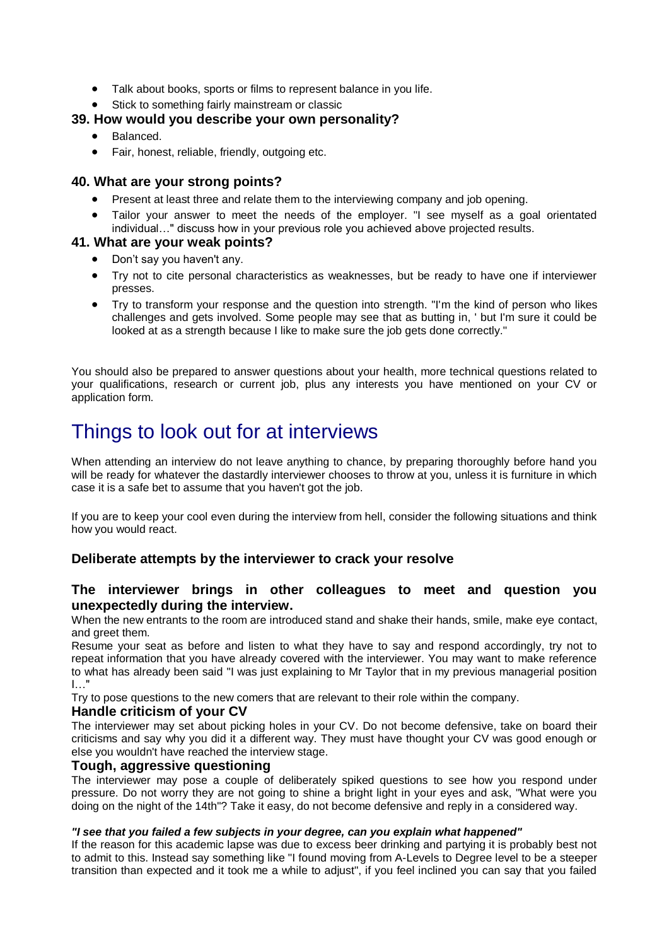- Talk about books, sports or films to represent balance in you life.
- Stick to something fairly mainstream or classic

### **39. How would you describe your own personality?**

- Balanced.
- Fair, honest, reliable, friendly, outgoing etc.

#### **40. What are your strong points?**

- Present at least three and relate them to the interviewing company and job opening.
- Tailor your answer to meet the needs of the employer. "I see myself as a goal orientated individual…" discuss how in your previous role you achieved above projected results.

#### **41. What are your weak points?**

- Don't say you haven't any.
- Try not to cite personal characteristics as weaknesses, but be ready to have one if interviewer presses.
- Try to transform your response and the question into strength. "I'm the kind of person who likes challenges and gets involved. Some people may see that as butting in, ' but I'm sure it could be looked at as a strength because I like to make sure the job gets done correctly."

You should also be prepared to answer questions about your health, more technical questions related to your qualifications, research or current job, plus any interests you have mentioned on your CV or application form.

## Things to look out for at interviews

When attending an interview do not leave anything to chance, by preparing thoroughly before hand you will be ready for whatever the dastardly interviewer chooses to throw at you, unless it is furniture in which case it is a safe bet to assume that you haven't got the job.

If you are to keep your cool even during the interview from hell, consider the following situations and think how you would react.

#### **Deliberate attempts by the interviewer to crack your resolve**

#### **The interviewer brings in other colleagues to meet and question you unexpectedly during the interview.**

When the new entrants to the room are introduced stand and shake their hands, smile, make eye contact, and greet them.

Resume your seat as before and listen to what they have to say and respond accordingly, try not to repeat information that you have already covered with the interviewer. You may want to make reference to what has already been said "I was just explaining to Mr Taylor that in my previous managerial position I…"

Try to pose questions to the new comers that are relevant to their role within the company.

#### **Handle criticism of your CV**

The interviewer may set about picking holes in your CV. Do not become defensive, take on board their criticisms and say why you did it a different way. They must have thought your CV was good enough or else you wouldn't have reached the interview stage.

#### **Tough, aggressive questioning**

The interviewer may pose a couple of deliberately spiked questions to see how you respond under pressure. Do not worry they are not going to shine a bright light in your eyes and ask, "What were you doing on the night of the 14th"? Take it easy, do not become defensive and reply in a considered way.

#### *"I see that you failed a few subjects in your degree, can you explain what happened"*

If the reason for this academic lapse was due to excess beer drinking and partying it is probably best not to admit to this. Instead say something like "I found moving from A-Levels to Degree level to be a steeper transition than expected and it took me a while to adjust", if you feel inclined you can say that you failed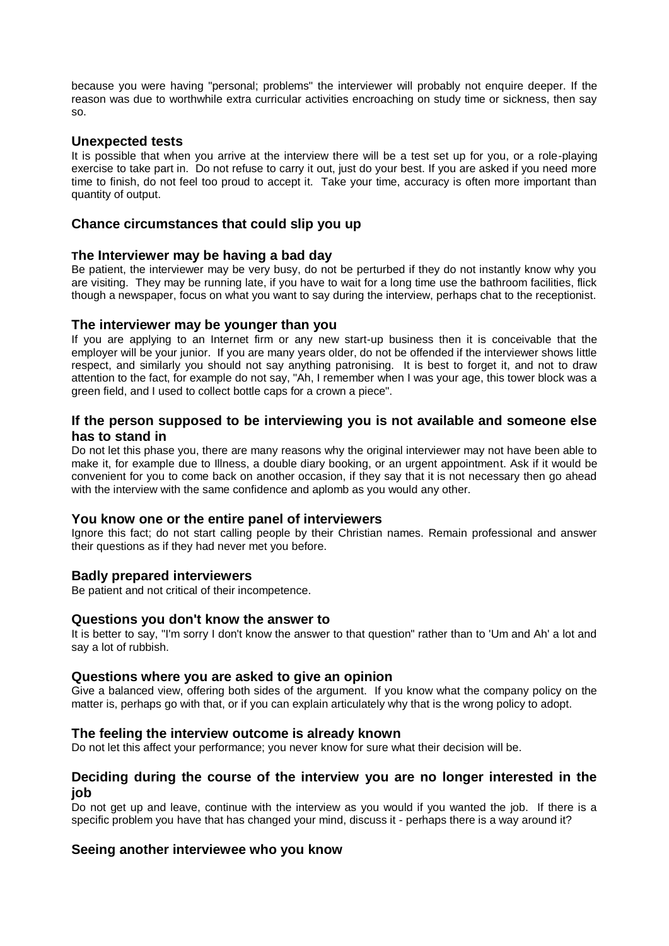because you were having "personal; problems" the interviewer will probably not enquire deeper. If the reason was due to worthwhile extra curricular activities encroaching on study time or sickness, then say so.

#### **Unexpected tests**

It is possible that when you arrive at the interview there will be a test set up for you, or a role-playing exercise to take part in. Do not refuse to carry it out, just do your best. If you are asked if you need more time to finish, do not feel too proud to accept it. Take your time, accuracy is often more important than quantity of output.

#### **Chance circumstances that could slip you up**

#### **The Interviewer may be having a bad day**

Be patient, the interviewer may be very busy, do not be perturbed if they do not instantly know why you are visiting. They may be running late, if you have to wait for a long time use the bathroom facilities, flick though a newspaper, focus on what you want to say during the interview, perhaps chat to the receptionist.

#### **The interviewer may be younger than you**

If you are applying to an Internet firm or any new start-up business then it is conceivable that the employer will be your junior. If you are many years older, do not be offended if the interviewer shows little respect, and similarly you should not say anything patronising. It is best to forget it, and not to draw attention to the fact, for example do not say, "Ah, I remember when I was your age, this tower block was a green field, and I used to collect bottle caps for a crown a piece".

#### **If the person supposed to be interviewing you is not available and someone else has to stand in**

Do not let this phase you, there are many reasons why the original interviewer may not have been able to make it, for example due to Illness, a double diary booking, or an urgent appointment. Ask if it would be convenient for you to come back on another occasion, if they say that it is not necessary then go ahead with the interview with the same confidence and aplomb as you would any other.

#### **You know one or the entire panel of interviewers**

Ignore this fact; do not start calling people by their Christian names. Remain professional and answer their questions as if they had never met you before.

#### **Badly prepared interviewers**

Be patient and not critical of their incompetence.

#### **Questions you don't know the answer to**

It is better to say, "I'm sorry I don't know the answer to that question" rather than to 'Um and Ah' a lot and say a lot of rubbish.

#### **Questions where you are asked to give an opinion**

Give a balanced view, offering both sides of the argument. If you know what the company policy on the matter is, perhaps go with that, or if you can explain articulately why that is the wrong policy to adopt.

#### **The feeling the interview outcome is already known**

Do not let this affect your performance; you never know for sure what their decision will be.

#### **Deciding during the course of the interview you are no longer interested in the job**

Do not get up and leave, continue with the interview as you would if you wanted the job. If there is a specific problem you have that has changed your mind, discuss it - perhaps there is a way around it?

#### **Seeing another interviewee who you know**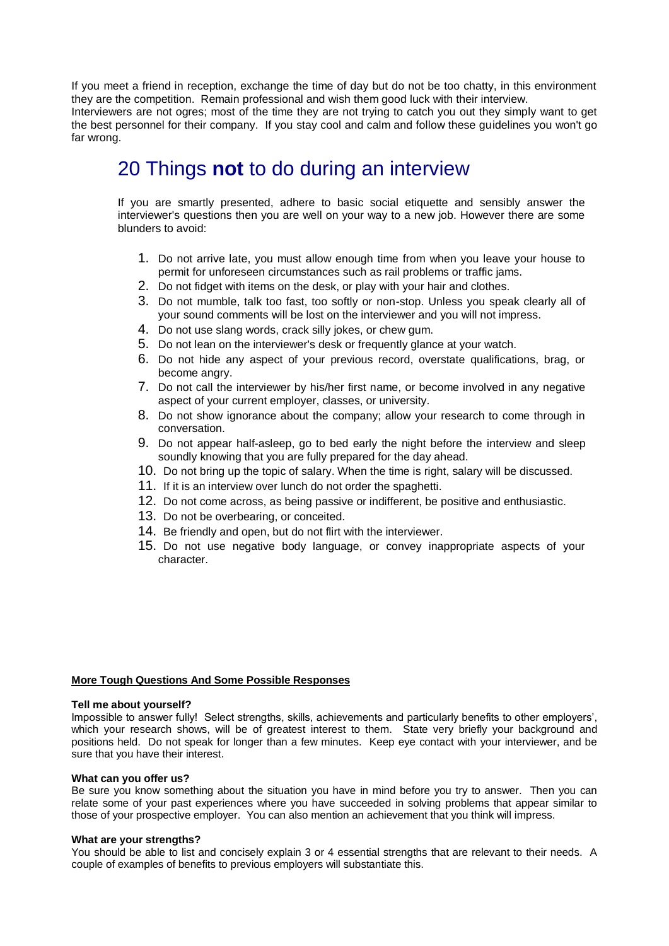If you meet a friend in reception, exchange the time of day but do not be too chatty, in this environment they are the competition. Remain professional and wish them good luck with their interview.

Interviewers are not ogres; most of the time they are not trying to catch you out they simply want to get the best personnel for their company. If you stay cool and calm and follow these guidelines you won't go far wrong.

## 20 Things **not** to do during an interview

If you are smartly presented, adhere to basic social etiquette and sensibly answer the interviewer's questions then you are well on your way to a new job. However there are some blunders to avoid:

- 1. Do not arrive late, you must allow enough time from when you leave your house to permit for unforeseen circumstances such as rail problems or traffic jams.
- 2. Do not fidget with items on the desk, or play with your hair and clothes.
- 3. Do not mumble, talk too fast, too softly or non-stop. Unless you speak clearly all of your sound comments will be lost on the interviewer and you will not impress.
- 4. Do not use slang words, crack silly jokes, or chew gum.
- 5. Do not lean on the interviewer's desk or frequently glance at your watch.
- 6. Do not hide any aspect of your previous record, overstate qualifications, brag, or become angry.
- 7. Do not call the interviewer by his/her first name, or become involved in any negative aspect of your current employer, classes, or university.
- 8. Do not show ignorance about the company; allow your research to come through in conversation.
- 9. Do not appear half-asleep, go to bed early the night before the interview and sleep soundly knowing that you are fully prepared for the day ahead.
- 10. Do not bring up the topic of salary. When the time is right, salary will be discussed.
- 11. If it is an interview over lunch do not order the spaghetti.
- 12. Do not come across, as being passive or indifferent, be positive and enthusiastic.
- 13. Do not be overbearing, or conceited.
- 14. Be friendly and open, but do not flirt with the interviewer.
- 15. Do not use negative body language, or convey inappropriate aspects of your character.

#### **More Tough Questions And Some Possible Responses**

#### **Tell me about yourself?**

Impossible to answer fully! Select strengths, skills, achievements and particularly benefits to other employers', which your research shows, will be of greatest interest to them. State very briefly your background and positions held. Do not speak for longer than a few minutes. Keep eye contact with your interviewer, and be sure that you have their interest.

#### **What can you offer us?**

Be sure you know something about the situation you have in mind before you try to answer. Then you can relate some of your past experiences where you have succeeded in solving problems that appear similar to those of your prospective employer. You can also mention an achievement that you think will impress.

#### **What are your strengths?**

You should be able to list and concisely explain 3 or 4 essential strengths that are relevant to their needs. A couple of examples of benefits to previous employers will substantiate this.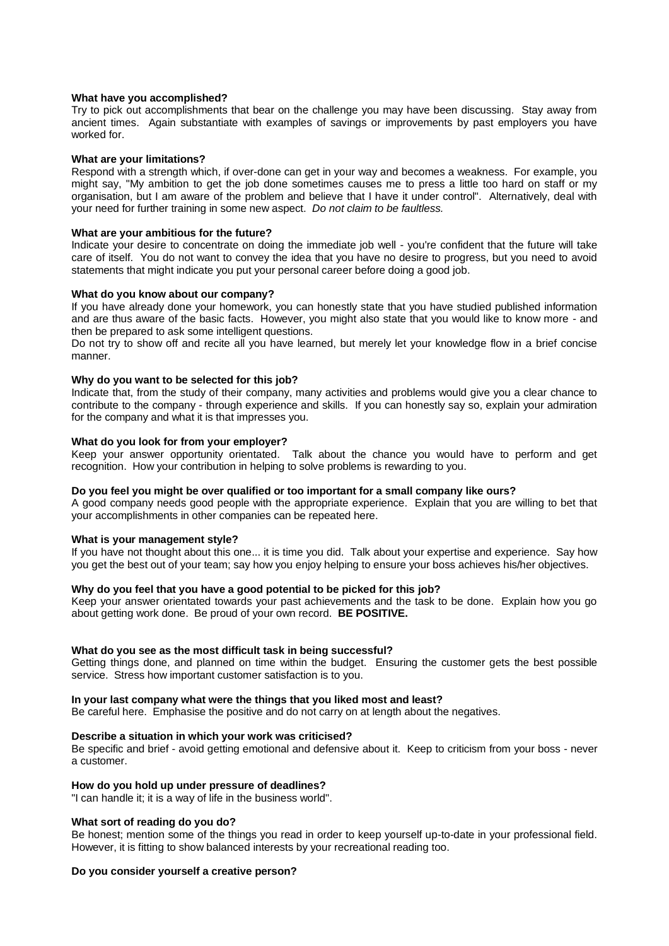#### **What have you accomplished?**

Try to pick out accomplishments that bear on the challenge you may have been discussing. Stay away from ancient times. Again substantiate with examples of savings or improvements by past employers you have worked for.

#### **What are your limitations?**

Respond with a strength which, if over-done can get in your way and becomes a weakness. For example, you might say, "My ambition to get the job done sometimes causes me to press a little too hard on staff or my organisation, but I am aware of the problem and believe that I have it under control". Alternatively, deal with your need for further training in some new aspect. *Do not claim to be faultless.*

#### **What are your ambitious for the future?**

Indicate your desire to concentrate on doing the immediate job well - you're confident that the future will take care of itself. You do not want to convey the idea that you have no desire to progress, but you need to avoid statements that might indicate you put your personal career before doing a good job.

#### **What do you know about our company?**

If you have already done your homework, you can honestly state that you have studied published information and are thus aware of the basic facts. However, you might also state that you would like to know more - and then be prepared to ask some intelligent questions.

Do not try to show off and recite all you have learned, but merely let your knowledge flow in a brief concise manner.

#### **Why do you want to be selected for this job?**

Indicate that, from the study of their company, many activities and problems would give you a clear chance to contribute to the company - through experience and skills. If you can honestly say so, explain your admiration for the company and what it is that impresses you.

#### **What do you look for from your employer?**

Keep your answer opportunity orientated. Talk about the chance you would have to perform and get recognition. How your contribution in helping to solve problems is rewarding to you.

#### **Do you feel you might be over qualified or too important for a small company like ours?**

A good company needs good people with the appropriate experience. Explain that you are willing to bet that your accomplishments in other companies can be repeated here.

#### **What is your management style?**

If you have not thought about this one... it is time you did. Talk about your expertise and experience. Say how you get the best out of your team; say how you enjoy helping to ensure your boss achieves his/her objectives.

#### **Why do you feel that you have a good potential to be picked for this job?**

Keep your answer orientated towards your past achievements and the task to be done. Explain how you go about getting work done. Be proud of your own record. **BE POSITIVE.**

#### **What do you see as the most difficult task in being successful?**

Getting things done, and planned on time within the budget. Ensuring the customer gets the best possible service. Stress how important customer satisfaction is to you.

#### **In your last company what were the things that you liked most and least?**

Be careful here. Emphasise the positive and do not carry on at length about the negatives.

#### **Describe a situation in which your work was criticised?**

Be specific and brief - avoid getting emotional and defensive about it. Keep to criticism from your boss - never a customer.

#### **How do you hold up under pressure of deadlines?**

"I can handle it; it is a way of life in the business world".

#### **What sort of reading do you do?**

Be honest; mention some of the things you read in order to keep yourself up-to-date in your professional field. However, it is fitting to show balanced interests by your recreational reading too.

#### **Do you consider yourself a creative person?**